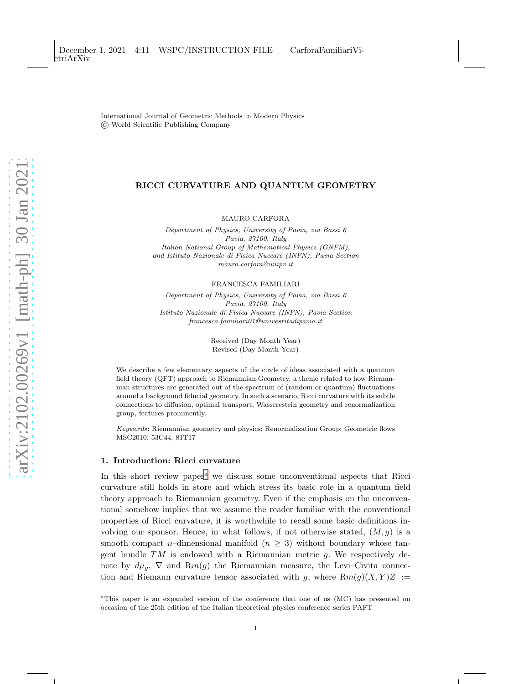International Journal of Geometric Methods in Modern Physics © World Scientific Publishing Company

## RICCI CURVATURE AND QUANTUM GEOMETRY

MAURO CARFORA

Department of Physics, University of Pavia, via Bassi 6 Pavia, 27100, Italy Italian National Group of Mathematical Physics (GNFM), and Istituto Nazionale di Fisica Nuceare (INFN), Pavia Section mauro.carfora@unipv.it

FRANCESCA FAMILIARI

Department of Physics, University of Pavia, via Bassi 6 Pavia, 27100, Italy Istituto Nazionale di Fisica Nuceare (INFN), Pavia Section francesca.familiari01@univesritadipavia.it

> Received (Day Month Year) Revised (Day Month Year)

We describe a few elementary aspects of the circle of ideas associated with a quantum field theory (QFT) approach to Riemannian Geometry, a theme related to how Riemannian structures are generated out of the spectrum of (random or quantum) fluctuations around a background fiducial geometry. In such a scenario, Ricci curvature with its subtle connections to diffusion, optimal transport, Wasserestein geometry and renormalization group, features prominently.

Keywords: Riemannian geometry and physics; Renormalization Group; Geometric flows MSC2010: 53C44, 81T17

# 1. Introduction: Ricci curvature

In this short review p[a](#page-0-0)per<sup>a</sup> we discuss some unconventional aspects that Ricci curvature still holds in store and which stress its basic role in a quantum field theory approach to Riemannian geometry. Even if the emphasis on the unconventional somehow implies that we assume the reader familiar with the conventional properties of Ricci curvature, it is worthwhile to recall some basic definitions involving our sponsor. Hence, in what follows, if not otherwise stated,  $(M, g)$  is a smooth compact n–dimensional manifold ( $n \geq 3$ ) without boundary whose tangent bundle  $TM$  is endowed with a Riemannian metric  $g$ . We respectively denote by  $d\mu_q$ ,  $\nabla$  and  $Rm(g)$  the Riemannian measure, the Levi–Civita connection and Riemann curvature tensor associated with g, where  $Rm(g)(X, Y)Z :=$ 

<span id="page-0-0"></span><sup>a</sup>This paper is an expanded version of the conference that one of us (MC) has presented on occasion of the 25th edition of the Italian theoretical physics conference series PAFT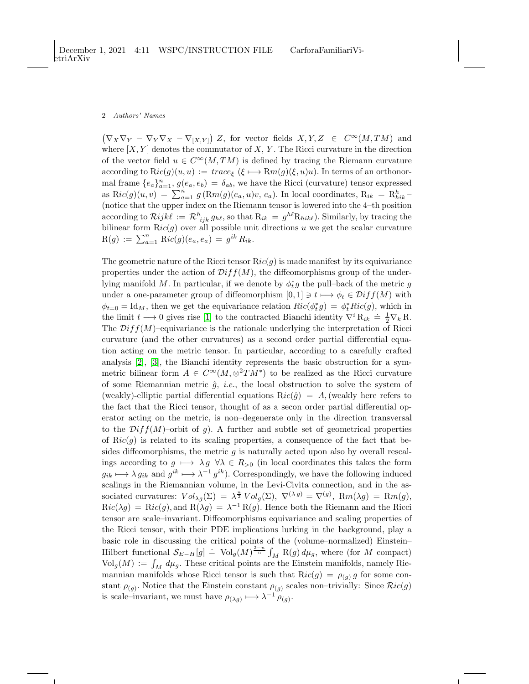$(\nabla_X \nabla_Y - \nabla_Y \nabla_X - \nabla_{[X,Y]}) Z$ , for vector fields  $X, Y, Z \in C^{\infty}(M, TM)$  and where  $[X, Y]$  denotes the commutator of X, Y. The Ricci curvature in the direction of the vector field  $u \in C^{\infty}(M, TM)$  is defined by tracing the Riemann curvature according to  $\text{Ric}(g)(u, u) := trace_{\xi} (\xi \mapsto \text{Rm}(g)(\xi, u)u)$ . In terms of an orthonormal frame  ${e_a}_{a=1}^n$ ,  $g(e_a, e_b) = \delta_{ab}$ , we have the Ricci (curvature) tensor expressed as  $\text{Ric}(g)(u, v) = \sum_{a=1}^{n} g(\text{Rm}(g)(e_a, u)v, e_a)$ . In local coordinates,  $\text{R}_{ik} = \text{R}_{hik}^h$ (notice that the upper index on the Riemann tensor is lowered into the 4–th position according to  $\mathcal{R}ijk\ell := \mathcal{R}^h_{ijk}g_{h\ell}$ , so that  $R_{ik} = g^{h\ell}R_{hik\ell}$ ). Similarly, by tracing the bilinear form  $\text{R}ic(g)$  over all possible unit directions u we get the scalar curvature  $R(g) := \sum_{a=1}^{n} Ric(g)(e_a, e_a) = g^{ik} R_{ik}.$ 

The geometric nature of the Ricci tensor  $Ric(g)$  is made manifest by its equivariance properties under the action of  $Diff(M)$ , the diffeomorphisms group of the underlying manifold M. In particular, if we denote by  $\phi_t^*g$  the pull–back of the metric  $g$ under a one-parameter group of diffeomorphism  $[0, 1] \ni t \mapsto \phi_t \in \mathcal{D}iff(M)$  with  $\phi_{t=0} = \text{Id}_M$ , then we get the equivariance relation  $Ric(\phi_t^*g) = \phi_t^*Ric(g)$ , which in the limit  $t \to 0$  gives rise [\[1\]](#page-9-0) to the contracted Bianchi identity  $\nabla^i R_{ik} \doteq \frac{1}{2} \nabla_k R$ . The  $Diff(M)$ –equivariance is the rationale underlying the interpretation of Ricci curvature (and the other curvatures) as a second order partial differential equation acting on the metric tensor. In particular, according to a carefully crafted analysis [\[2\]](#page-9-1), [\[3\]](#page-9-2), the Bianchi identity represents the basic obstruction for a symmetric bilinear form  $A \in C^{\infty}(M, \otimes^2 TM^*)$  to be realized as the Ricci curvature of some Riemannian metric  $\hat{g}$ , *i.e.*, the local obstruction to solve the system of (weakly)-elliptic partial differential equations  $\text{Ric}(\hat{q}) = A$ , (weakly here refers to the fact that the Ricci tensor, thought of as a secon order partial differential operator acting on the metric, is non–degenerate only in the direction transversal to the  $Diff(M)$ –orbit of g). A further and subtle set of geometrical properties of  $\text{Ric}(g)$  is related to its scaling properties, a consequence of the fact that besides diffeomorphisms, the metric  $g$  is naturally acted upon also by overall rescalings according to  $g \mapsto \lambda g \ \forall \lambda \in R_{>0}$  (in local coordinates this takes the form  $g_{ik} \longmapsto \lambda g_{ik}$  and  $g^{ik} \longmapsto \lambda^{-1} g^{ik}$ ). Correspondingly, we have the following induced scalings in the Riemannian volume, in the Levi-Civita connection, and in the associated curvatures:  $Vol_{\lambda g}(\Sigma) = \lambda^{\frac{n}{2}} Vol_g(\Sigma), \nabla^{(\lambda g)} = \nabla^{(g)}, \, Rm(\lambda g) = Rm(g),$  $\text{R}ic(\lambda g) = \text{R}ic(g), \text{and } \text{R}(\lambda g) = \lambda^{-1} \text{R}(g).$  Hence both the Riemann and the Ricci tensor are scale–invariant. Diffeomorphisms equivariance and scaling properties of the Ricci tensor, with their PDE implications lurking in the background, play a basic role in discussing the critical points of the (volume–normalized) Einstein– Hilbert functional  $S_{E-H}[g] \doteq \text{Vol}_g(M)^{\frac{2-n}{n}} \int_M \text{R}(g) d\mu_g$ , where (for M compact)  $\text{Vol}_g(M) := \int_M d\mu_g$ . These critical points are the Einstein manifolds, namely Riemannian manifolds whose Ricci tensor is such that  $Ric(g) = \rho_{(g)} g$  for some constant  $\rho_{(g)}$ . Notice that the Einstein constant  $\rho_{(g)}$  scales non-trivially: Since  $Ric(g)$ is scale–invariant, we must have  $\rho(\lambda g) \mapsto \lambda^{-1} \rho(g)$ .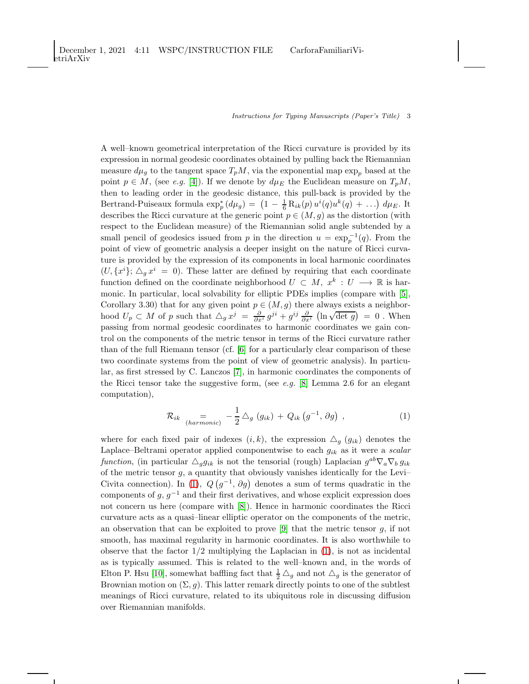A well–known geometrical interpretation of the Ricci curvature is provided by its expression in normal geodesic coordinates obtained by pulling back the Riemannian measure  $d\mu_g$  to the tangent space  $T_pM$ , via the exponential map  $\exp_p$  based at the point  $p \in M$ , (see e.g. [\[4\]](#page-9-3)). If we denote by  $d\mu_E$  the Euclidean measure on  $T_pM$ , then to leading order in the geodesic distance, this pull-back is provided by the Bertrand-Puiseaux formula  $\exp^*_p(d\mu_g) = (1 - \frac{1}{6}R_{ik}(p)u^i(q)u^k(q) + ...) d\mu_E$ . It describes the Ricci curvature at the generic point  $p \in (M, g)$  as the distortion (with respect to the Euclidean measure) of the Riemannian solid angle subtended by a small pencil of geodesics issued from p in the direction  $u = \exp_p^{-1}(q)$ . From the point of view of geometric analysis a deeper insight on the nature of Ricci curvature is provided by the expression of its components in local harmonic coordinates  $(U, \{x^{i}\}; \triangle_{g} x^{i} = 0)$ . These latter are defined by requiring that each coordinate function defined on the coordinate neighborhood  $U \subset M$ ,  $x^k : U \longrightarrow \mathbb{R}$  is harmonic. In particular, local solvability for elliptic PDEs implies (compare with [\[5\]](#page-9-4), Corollary 3.30) that for any given point  $p \in (M, g)$  there always exists a neighborhood  $U_p \subset M$  of p such that  $\Delta_g x^j = \frac{\partial}{\partial x^i} g^{ji} + g^{ij} \frac{\partial}{\partial x^i} (\ln \sqrt{\det g}) = 0$ . When passing from normal geodesic coordinates to harmonic coordinates we gain control on the components of the metric tensor in terms of the Ricci curvature rather than of the full Riemann tensor (cf. [\[6\]](#page-9-5) for a particularly clear comparison of these two coordinate systems from the point of view of geometric analysis). In particular, as first stressed by C. Lanczos [\[7\]](#page-9-6), in harmonic coordinates the components of the Ricci tensor take the suggestive form, (see e.g. [\[8\]](#page-9-7) Lemma 2.6 for an elegant computation),

<span id="page-2-0"></span>
$$
\mathcal{R}_{ik} = \sum_{(harmonic)} -\frac{1}{2} \triangle_g (g_{ik}) + Q_{ik} (g^{-1}, \partial g) , \qquad (1)
$$

where for each fixed pair of indexes  $(i, k)$ , the expression  $\Delta_{g}$  ( $g_{ik}$ ) denotes the Laplace–Beltrami operator applied componentwise to each  $g_{ik}$  as it were a scalar function, (in particular  $\triangle_g g_{ik}$  is not the tensorial (rough) Laplacian  $g^{ab} \nabla_a \nabla_b g_{ik}$ of the metric tensor  $g$ , a quantity that obviously vanishes identically for the Levi– Civita connection). In [\(1\)](#page-2-0),  $Q(g^{-1}, \partial g)$  denotes a sum of terms quadratic in the components of  $g, g^{-1}$  and their first derivatives, and whose explicit expression does not concern us here (compare with [\[8\]](#page-9-7)). Hence in harmonic coordinates the Ricci curvature acts as a quasi–linear elliptic operator on the components of the metric, an observation that can be exploited to prove  $[9]$  that the metric tensor g, if not smooth, has maximal regularity in harmonic coordinates. It is also worthwhile to observe that the factor  $1/2$  multiplying the Laplacian in  $(1)$ , is not as incidental as is typically assumed. This is related to the well–known and, in the words of Elton P. Hsu [\[10\]](#page-9-9), somewhat baffling fact that  $\frac{1}{2} \triangle_g$  and not  $\triangle_g$  is the generator of Brownian motion on  $(\Sigma, g)$ . This latter remark directly points to one of the subtlest meanings of Ricci curvature, related to its ubiquitous role in discussing diffusion over Riemannian manifolds.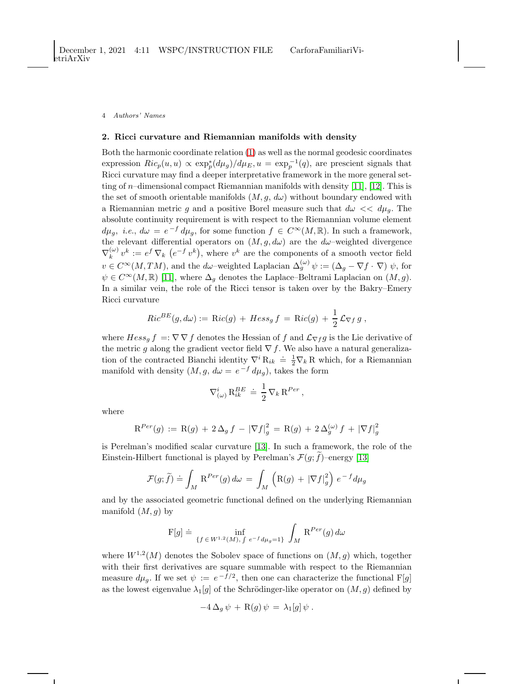### 2. Ricci curvature and Riemannian manifolds with density

Both the harmonic coordinate relation [\(1\)](#page-2-0) as well as the normal geodesic coordinates expression  $Ric_p(u, u) \propto \exp_p^*(d\mu_g)/d\mu_E$ ,  $u = \exp_p^{-1}(q)$ , are prescient signals that Ricci curvature may find a deeper interpretative framework in the more general set-ting of n–dimensional compact Riemannian manifolds with density [\[11\]](#page-9-10), [\[12\]](#page-9-11). This is the set of smooth orientable manifolds  $(M, g, d\omega)$  without boundary endowed with a Riemannian metric g and a positive Borel measure such that  $d\omega \ll d\mu_g$ . The absolute continuity requirement is with respect to the Riemannian volume element  $d\mu_g$ , *i.e.*,  $d\omega = e^{-f} d\mu_g$ , for some function  $f \in C^{\infty}(M, \mathbb{R})$ . In such a framework, the relevant differential operators on  $(M, g, d\omega)$  are the  $d\omega$ -weighted divergence  $\nabla_k^{(\omega)}$  $\mathbf{v}_k^{(\omega)} v^k := e^f \nabla_k \left( e^{-f} v^k \right)$ , where  $v^k$  are the components of a smooth vector field  $v \in C^{\infty}(M, TM)$ , and the d $\omega$ -weighted Laplacian  $\Delta_g^{(\omega)} \psi := (\Delta_g - \nabla f \cdot \nabla) \psi$ , for  $\psi \in C^{\infty}(M,\mathbb{R})$  [\[11\]](#page-9-10), where  $\Delta_g$  denotes the Laplace–Beltrami Laplacian on  $(M,g)$ . In a similar vein, the role of the Ricci tensor is taken over by the Bakry–Emery Ricci curvature

$$
Ric^{BE}(g, d\omega) := \mathrm{R}ic(g) + Hess_g f = \mathrm{R}ic(g) + \frac{1}{2}\mathcal{L}_{\nabla f} g,
$$

where  $Hess_g f = \nabla \nabla f$  denotes the Hessian of f and  $\mathcal{L}_{\nabla f} g$  is the Lie derivative of the metric g along the gradient vector field  $\nabla f$ . We also have a natural generalization of the contracted Bianchi identity  $\nabla^i R_{ik} \doteq \frac{1}{2} \nabla_k R$  which, for a Riemannian manifold with density  $(M, g, d\omega = e^{-f} d\mu_g)$ , takes the form

$$
\nabla^i_{(\omega)} \, \mathbf{R}^{BE}_{ik} \; \doteq \; \frac{1}{2} \, \nabla_k \, \mathbf{R}^{Per} \,,
$$

where

$$
\mathrm{R}^{Per}(g) := \mathrm{R}(g) + 2 \Delta_g f - |\nabla f|_g^2 = \mathrm{R}(g) + 2 \Delta_g^{(\omega)} f + |\nabla f|_g^2
$$

is Perelman's modified scalar curvature [\[13\]](#page-9-12). In such a framework, the role of the Einstein-Hilbert functional is played by Perelman's  $\mathcal{F}(g; f)$ –energy [\[13\]](#page-9-12)

$$
\mathcal{F}(g;\tilde{f}) \doteq \int_M \mathrm{R}^{Per}(g) \, d\omega \, = \, \int_M \left( \mathrm{R}(g) \, + \, |\nabla f|_g^2 \right) \, e^{-\,f} d\mu_g
$$

and by the associated geometric functional defined on the underlying Riemannian manifold  $(M, g)$  by

$$
\mathcal{F}[g] \doteq \inf_{\{f \in W^{1,2}(M), \int e^{-f} d\mu_g = 1\}} \int_M \mathcal{R}^{Per}(g) d\omega
$$

where  $W^{1,2}(M)$  denotes the Sobolev space of functions on  $(M, g)$  which, together with their first derivatives are square summable with respect to the Riemannian measure  $d\mu_g$ . If we set  $\psi := e^{-f/2}$ , then one can characterize the functional F[g] as the lowest eigenvalue  $\lambda_1[g]$  of the Schrödinger-like operator on  $(M, g)$  defined by

$$
-4\,\Delta_g\,\psi\,+\,\mathrm{R}(g)\,\psi\,=\,\lambda_1[g]\,\psi\;.
$$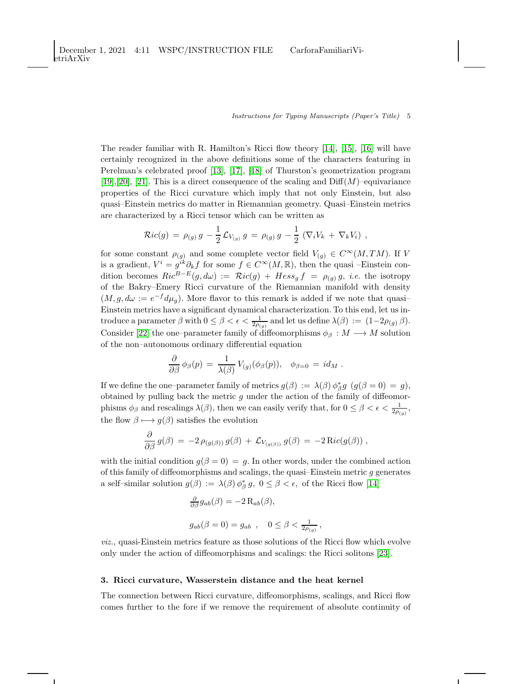The reader familiar with R. Hamilton's Ricci flow theory  $[14]$ ,  $[15]$ ,  $[16]$  will have certainly recognized in the above definitions some of the characters featuring in Perelman's celebrated proof [\[13\]](#page-9-12), [\[17\]](#page-9-16), [\[18\]](#page-9-17) of Thurston's geometrization program [\[19\]](#page-9-18), [\[20\]](#page-9-19), [\[21\]](#page-9-20). This is a direct consequence of the scaling and  $\text{Diff}(M)$ –equivariance properties of the Ricci curvature which imply that not only Einstein, but also quasi–Einstein metrics do matter in Riemannian geometry. Quasi–Einstein metrics are characterized by a Ricci tensor which can be written as

$$
\mathcal{R}ic(g) = \rho_{(g)} g - \frac{1}{2} \mathcal{L}_{V_{(g)}} g = \rho_{(g)} g - \frac{1}{2} \left( \nabla_i V_k + \nabla_k V_i \right) ,
$$

for some constant  $\rho_{(g)}$  and some complete vector field  $V_{(g)} \in C^{\infty}(M, TM)$ . If V is a gradient,  $V^i = g^{ik}\partial_k f$  for some  $f \in C^{\infty}(M,\mathbb{R})$ , then the quasi –Einstein condition becomes  $Ric^{B-E}(g, d\omega) := \mathcal{R}ic(g) + Hess_g f = \rho_{(g)} g$ , *i.e.* the isotropy of the Bakry–Emery Ricci curvature of the Riemannian manifold with density  $(M, g, d\omega) := e^{-f} d\mu_g$ . More flavor to this remark is added if we note that quasi-Einstein metrics have a significant dynamical characterization. To this end, let us introduce a parameter  $\beta$  with  $0 \leq \beta < \epsilon < \frac{1}{2\rho_{(g)}}$  and let us define  $\lambda(\beta) := (1-2\rho_{(g)}\beta)$ . Consider [\[22\]](#page-9-21) the one–parameter family of diffeomorphisms  $\phi_{\beta}: M \longrightarrow M$  solution of the non–autonomous ordinary differential equation

$$
\frac{\partial}{\partial \beta} \phi_{\beta}(p) = \frac{1}{\lambda(\beta)} V_{(g)}(\phi_{\beta}(p)), \quad \phi_{\beta=0} = id_M.
$$

If we define the one–parameter family of metrics  $g(\beta) := \lambda(\beta) \phi_{\beta}^* g$   $(g(\beta = 0) = g)$ , obtained by pulling back the metric  $g$  under the action of the family of diffeomorphisms  $\phi_\beta$  and rescalings  $\lambda(\beta)$ , then we can easily verify that, for  $0 \leq \beta < \epsilon < \frac{1}{2\rho_{(g)}},$ the flow  $\beta \mapsto g(\beta)$  satisfies the evolution

$$
\frac{\partial}{\partial \beta} \, g(\beta) \, = \, -2 \, \rho_{(g(\beta))} \, g(\beta) \, + \, {\cal L}_{V_{(g(\beta))}} \, g(\beta) \, = \, -2 \, \text{Ric}(g(\beta)) \; ,
$$

with the initial condition  $g(\beta = 0) = g$ . In other words, under the combined action of this family of diffeomorphisms and scalings, the quasi–Einstein metric  $g$  generates a self-similar solution  $g(\beta) := \lambda(\beta) \phi_{\beta}^* g$ ,  $0 \le \beta < \epsilon$ , of the Ricci flow [\[14\]](#page-9-13)

$$
\frac{\partial}{\partial \beta} g_{ab}(\beta) = -2 \operatorname{R}_{ab}(\beta),
$$
  

$$
g_{ab}(\beta = 0) = g_{ab} , \quad 0 \le \beta < \frac{1}{2\rho_{(g)}},
$$

viz., quasi-Einstein metrics feature as those solutions of the Ricci flow which evolve only under the action of diffeomorphisms and scalings: the Ricci solitons [\[23\]](#page-9-22).

## 3. Ricci curvature, Wasserstein distance and the heat kernel

The connection between Ricci curvature, diffeomorphisms, scalings, and Ricci flow comes further to the fore if we remove the requirement of absolute continuity of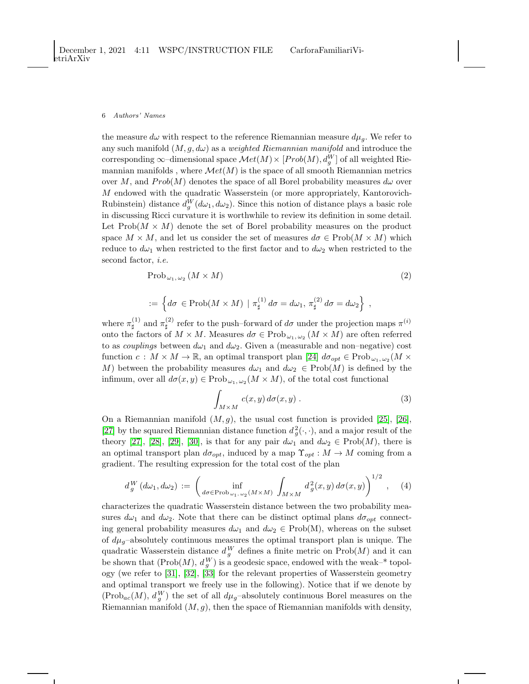the measure  $d\omega$  with respect to the reference Riemannian measure  $d\mu_g$ . We refer to any such manifold  $(M, g, d\omega)$  as a *weighted Riemannian manifold* and introduce the corresponding  $\infty$ -dimensional space  $\mathcal{M}et(M)\times[Prob(M),d_g^W]$  of all weighted Riemannian manifolds, where  $Met(M)$  is the space of all smooth Riemannian metrics over M, and  $Prob(M)$  denotes the space of all Borel probability measures  $d\omega$  over M endowed with the quadratic Wasserstein (or more appropriately, Kantorovich-Rubinstein) distance  $d_g^W(d\omega_1, d\omega_2)$ . Since this notion of distance plays a basic role in discussing Ricci curvature it is worthwhile to review its definition in some detail. Let  $\text{Prob}(M \times M)$  denote the set of Borel probability measures on the product space  $M \times M$ , and let us consider the set of measures  $d\sigma \in \text{Prob}(M \times M)$  which reduce to  $d\omega_1$  when restricted to the first factor and to  $d\omega_2$  when restricted to the second factor, *i.e.* 

$$
\mathrm{Prob}_{\omega_1,\,\omega_2}(M \times M) \tag{2}
$$

$$
:= \left\{ d\sigma \in \mathrm{Prob}(M \times M) \mid \pi_{\sharp}^{(1)} d\sigma = d\omega_1, \pi_{\sharp}^{(2)} d\sigma = d\omega_2 \right\} ,
$$

where  $\pi^{(1)}_{\text{H}}$  $\mathfrak{a}^{(1)}$  and  $\pi^{(2)}_{\sharp}$ <sup>(2)</sup> refer to the push–forward of  $d\sigma$  under the projection maps  $\pi^{(i)}$ onto the factors of  $M \times M$ . Measures  $d\sigma \in \text{Prob}_{\omega_1, \omega_2}(M \times M)$  are often referred to as *couplings* between  $d\omega_1$  and  $d\omega_2$ . Given a (measurable and non-negative) cost function  $c: M \times M \to \mathbb{R}$ , an optimal transport plan [\[24\]](#page-9-23)  $d\sigma_{opt} \in \text{Prob}_{\omega_1, \omega_2}(M \times$ M) between the probability measures  $d\omega_1$  and  $d\omega_2 \in \text{Prob}(M)$  is defined by the infimum, over all  $d\sigma(x, y) \in \text{Prob}_{\omega_1, \omega_2}(M \times M)$ , of the total cost functional

$$
\int_{M\times M} c(x,y) \, d\sigma(x,y) \,. \tag{3}
$$

On a Riemannian manifold  $(M, g)$ , the usual cost function is provided [\[25\]](#page-10-0), [\[26\]](#page-10-1), [\[27\]](#page-10-2) by the squared Riemannian distance function  $d_g^2(\cdot, \cdot)$ , and a major result of the theory [\[27\]](#page-10-2), [\[28\]](#page-10-3), [\[29\]](#page-10-4), [\[30\]](#page-10-5), is that for any pair  $d\omega_1$  and  $d\omega_2 \in \text{Prob}(M)$ , there is an optimal transport plan  $d\sigma_{opt}$ , induced by a map  $\Upsilon_{opt} : M \to M$  coming from a gradient. The resulting expression for the total cost of the plan

<span id="page-5-0"></span>
$$
d_g^W\left(d\omega_1,d\omega_2\right) := \left(\inf_{d\sigma \in \text{Prob}_{\omega_1,\omega_2}(M \times M)} \int_{M \times M} d_g^2(x,y) d\sigma(x,y)\right)^{1/2}, \quad (4)
$$

characterizes the quadratic Wasserstein distance between the two probability measures  $d\omega_1$  and  $d\omega_2$ . Note that there can be distinct optimal plans  $d\sigma_{opt}$  connecting general probability measures  $d\omega_1$  and  $d\omega_2 \in \text{Prob}(M)$ , whereas on the subset of  $d\mu_g$ –absolutely continuous measures the optimal transport plan is unique. The quadratic Wasserstein distance  $d_g^W$  defines a finite metric on  $\text{Prob}(M)$  and it can be shown that  $(Prob(M), d_y^W)$  is a geodesic space, endowed with the weak-\* topology (we refer to [\[31\]](#page-10-6), [\[32\]](#page-10-7), [\[33\]](#page-10-8) for the relevant properties of Wasserstein geometry and optimal transport we freely use in the following). Notice that if we denote by  $(Prob_{ac}(M), d_g^W)$  the set of all  $d\mu_g$ -absolutely continuous Borel measures on the Riemannian manifold  $(M, g)$ , then the space of Riemannian manifolds with density,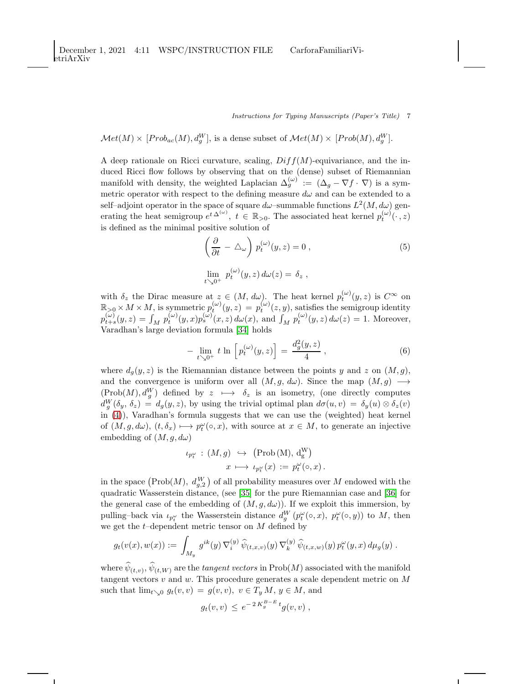$$
\mathcal{M}et(M)\times [Prob_{ac}(M), d_g^W],
$$
 is a dense subset of 
$$
\mathcal{M}et(M)\times [Prob(M), d_g^W].
$$

A deep rationale on Ricci curvature, scaling,  $Diff(M)$ -equivariance, and the induced Ricci flow follows by observing that on the (dense) subset of Riemannian manifold with density, the weighted Laplacian  $\Delta_g^{(\omega)} := (\Delta_g - \nabla f \cdot \nabla)$  is a symmetric operator with respect to the defining measure  $d\omega$  and can be extended to a self-adjoint operator in the space of square  $d\omega$ -summable functions  $L^2(M, d\omega)$  generating the heat semigroup  $e^{t\Delta^{(\omega)}}, t \in \mathbb{R}_{>0}$ . The associated heat kernel  $p_t^{(\omega)}(\cdot, z)$ is defined as the minimal positive solution of

$$
\left(\frac{\partial}{\partial t} - \triangle_{\omega}\right) p_t^{(\omega)}(y, z) = 0 ,
$$
\n
$$
\lim_{t \searrow 0^+} p_t^{(\omega)}(y, z) d\omega(z) = \delta_z ,
$$
\n(5)

with  $\delta_z$  the Dirac measure at  $z \in (M, d\omega)$ . The heat kernel  $p_t^{(\omega)}(y, z)$  is  $C^{\infty}$  on  $\mathbb{R}_{\geq 0} \times M \times M$ , is symmetric  $p_t^{(\omega)}(y, z) = p_t^{(\omega)}(z, y)$ , satisfies the semigroup identity  $p_{t+s}^{(\omega)}(y, z) = \int_M p_t^{(\omega)}(y, x) p_s^{(\omega)}(x, z) d\omega(x)$ , and  $\int_M p_t^{(\omega)}(y, z) d\omega(z) = 1$ . Moreover, Varadhan's large deviation formula [\[34\]](#page-10-9) holds

$$
-\lim_{t \searrow 0^+} t \ln \left[ p_t^{(\omega)}(y, z) \right] = \frac{d_g^2(y, z)}{4}, \qquad (6)
$$

where  $d_q(y, z)$  is the Riemannian distance between the points y and z on  $(M, g)$ , and the convergence is uniform over all  $(M, g, d\omega)$ . Since the map  $(M, g) \longrightarrow$  $(Prob(M), d_g^W)$  defined by  $z \mapsto \delta_z$  is an isometry, (one directly computes  $d_g^W(\delta_y, \delta_z) = d_g(y, z)$ , by using the trivial optimal plan  $d\sigma(u, v) = \delta_y(u) \otimes \delta_z(v)$ in [\(4\)](#page-5-0)), Varadhan's formula suggests that we can use the (weighted) heat kernel of  $(M, g, d\omega)$ ,  $(t, \delta_x) \mapsto p_t^{\omega}(\circ, x)$ , with source at  $x \in M$ , to generate an injective embedding of  $(M, g, d\omega)$ 

$$
\iota_{p_t^{\omega}} : (M, g) \hookrightarrow (\text{Prob}(\text{M}), d_{g}^{\text{W}})
$$

$$
x \longmapsto \iota_{p_t^{\omega}}(x) := p_t^{\omega}(\circ, x).
$$

in the space  $(Prob(M), d_{g,2}^W)$  of all probability measures over M endowed with the quadratic Wasserstein distance, (see [\[35\]](#page-10-10) for the pure Riemannian case and [\[36\]](#page-10-11) for the general case of the embedding of  $(M, g, d\omega)$ ). If we exploit this immersion, by pulling–back via  $\iota_{p_t^{\omega}}$  the Wasserstein distance  $d_g^W(p_t^{\omega}(\circ, x), p_t^{\omega}(\circ, y))$  to M, then we get the  $t$ -dependent metric tensor on  $M$  defined by

$$
g_t(v(x),w(x)) := \int_{M_y} g^{ik}(y) \, \nabla_i^{(y)} \, \widehat{\psi}_{(t,x,v)}(y) \, \nabla_k^{(y)} \, \widehat{\psi}_{(t,x,w)}(y) \, p_t^{\omega}(y,x) \, d\mu_g(y) \; .
$$

where  $\psi_{(t,v)}, \psi_{(t,W)}$  are the *tangent vectors* in  $\mathrm{Prob}(M)$  associated with the manifold tangent vectors  $v$  and  $w$ . This procedure generates a scale dependent metric on  $M$ such that  $\lim_{t\searrow0} g_t(v, v) = g(v, v), v \in T_y M, y \in M$ , and

$$
g_t(v,v) \, \leq \, e^{-\,2\,K_g^{B-E}\,t} g(v,v) \;,
$$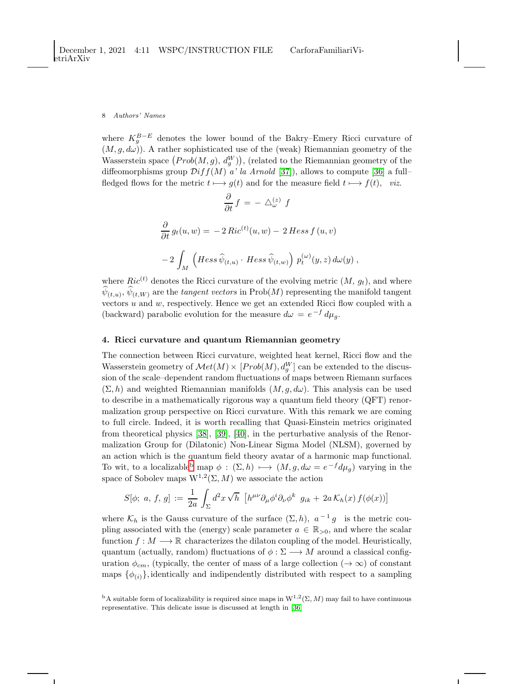where  $K_g^{B-E}$  denotes the lower bound of the Bakry–Emery Ricci curvature of  $(M, g, d\omega)$ ). A rather sophisticated use of the (weak) Riemannian geometry of the Wasserstein space  $(Prob(M, g), d_g^W)$ , (related to the Riemannian geometry of the diffeomorphisms group  $\mathcal{D}iff(M)$  a' la Arnold [\[37\]](#page-10-12)), allows to compute [\[36\]](#page-10-11) a full– fledged flows for the metric  $t \mapsto g(t)$  and for the measure field  $t \mapsto f(t)$ , viz.

$$
\frac{\partial}{\partial t} f = - \Delta_{\omega}^{(z)} f
$$

$$
\frac{\partial}{\partial t} g_t(u, w) = -2 Ric^{(t)}(u, w) - 2 Hess f(u, v)
$$

$$
-2 \int_M \left( Hess \hat{\psi}_{(t, u)} \cdot Hess \hat{\psi}_{(t, w)} \right) p_t^{(\omega)}(y, z) d\omega(y) ,
$$

where  $Ric^{(t)}$  denotes the Ricci curvature of the evolving metric  $(M, g_t)$ , and where  $\psi_{(t,u)}, \psi_{(t,W)}$  are the *tangent vectors* in  $\text{Prob}(M)$  representing the manifold tangent vectors  $u$  and  $w$ , respectively. Hence we get an extended Ricci flow coupled with a (backward) parabolic evolution for the measure  $d\omega = e^{-f} d\mu_g$ .

### 4. Ricci curvature and quantum Riemannian geometry

The connection between Ricci curvature, weighted heat kernel, Ricci flow and the Wasserstein geometry of  $\mathcal{M}et(M) \times [Prob(M), d_g^W]$  can be extended to the discussion of the scale–dependent random fluctuations of maps between Riemann surfaces  $(\Sigma, h)$  and weighted Riemannian manifolds  $(M, g, d\omega)$ . This analysis can be used to describe in a mathematically rigorous way a quantum field theory (QFT) renormalization group perspective on Ricci curvature. With this remark we are coming to full circle. Indeed, it is worth recalling that Quasi-Einstein metrics originated from theoretical physics [\[38\]](#page-10-13), [\[39\]](#page-10-14), [\[40\]](#page-10-15), in the perturbative analysis of the Renormalization Group for (Dilatonic) Non-Linear Sigma Model (NLSM), governed by an action which is the quantum field theory avatar of a harmonic map functional. To wit, to a localiza[b](#page-7-0)le<sup>b</sup> map  $\phi : (\Sigma, h) \longmapsto (M, g, d\omega = e^{-f} d\mu_g)$  varying in the space of Sobolev maps  $W^{1,2}(\Sigma, M)$  we associate the action

$$
S[\phi; a, f, g] := \frac{1}{2a} \int_{\Sigma} d^2 x \sqrt{h} \left[ h^{\mu\nu} \partial_{\mu} \phi^i \partial_{\nu} \phi^k g_{ik} + 2a \mathcal{K}_h(x) f(\phi(x)) \right]
$$

where  $\mathcal{K}_h$  is the Gauss curvature of the surface  $(\Sigma, h)$ ,  $a^{-1}g$  is the metric coupling associated with the (energy) scale parameter  $a \in \mathbb{R}_{>0}$ , and where the scalar function  $f : M \longrightarrow \mathbb{R}$  characterizes the dilaton coupling of the model. Heuristically, quantum (actually, random) fluctuations of  $\phi : \Sigma \longrightarrow M$  around a classical configuration  $\phi_{cm}$ , (typically, the center of mass of a large collection ( $\rightarrow \infty$ ) of constant maps  $\{\phi_{(i)}\}\$ , identically and indipendently distributed with respect to a sampling

<span id="page-7-0"></span><sup>&</sup>lt;sup>b</sup>A suitable form of localizability is required since maps in  $W^{1,2}(\Sigma, M)$  may fail to have continuous representative. This delicate issue is discussed at length in [\[36\]](#page-10-11)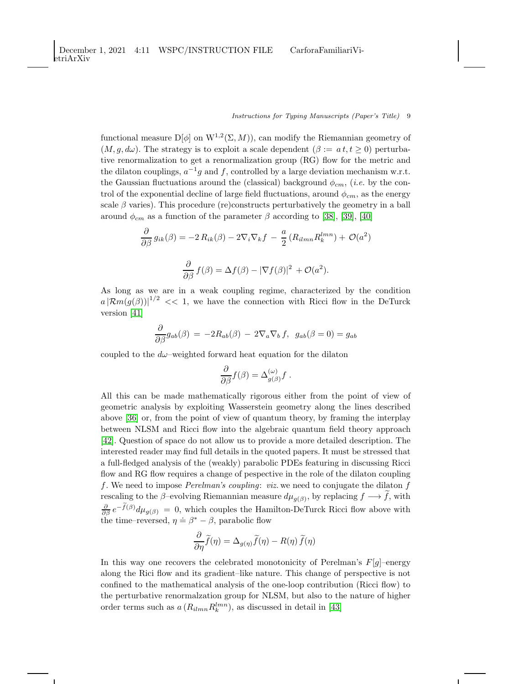functional measure  $D[\phi]$  on  $W^{1,2}(\Sigma, M)$ , can modify the Riemannian geometry of  $(M, q, d\omega)$ . The strategy is to exploit a scale dependent  $(\beta := at, t \geq 0)$  perturbative renormalization to get a renormalization group (RG) flow for the metric and the dilaton couplings,  $a^{-1}g$  and f, controlled by a large deviation mechanism w.r.t. the Gaussian fluctuations around the (classical) background  $\phi_{cm}$ , (*i.e.* by the control of the exponential decline of large field fluctuations, around  $\phi_{cm}$ , as the energy scale  $\beta$  varies). This procedure (re)constructs perturbatively the geometry in a ball around  $\phi_{cm}$  as a function of the parameter  $\beta$  according to [\[38\]](#page-10-13), [\[39\]](#page-10-14), [\[40\]](#page-10-15)

$$
\frac{\partial}{\partial \beta} g_{ik}(\beta) = -2 R_{ik}(\beta) - 2 \nabla_i \nabla_k f - \frac{a}{2} (R_{ilmn} R_k^{lmn}) + \mathcal{O}(a^2)
$$

$$
\frac{\partial}{\partial \beta} f(\beta) = \Delta f(\beta) - |\nabla f(\beta)|^2 + \mathcal{O}(a^2).
$$

As long as we are in a weak coupling regime, characterized by the condition  $a |\mathcal{R}m(g(\beta))|^{1/2}$  << 1, we have the connection with Ricci flow in the DeTurck version [\[41\]](#page-10-16)

$$
\frac{\partial}{\partial \beta}g_{ab}(\beta) = -2R_{ab}(\beta) - 2\nabla_a \nabla_b f, \ g_{ab}(\beta = 0) = g_{ab}
$$

coupled to the  $d\omega$ -weighted forward heat equation for the dilaton

$$
\frac{\partial}{\partial \beta} f(\beta) = \Delta_{g(\beta)}^{(\omega)} f.
$$

All this can be made mathematically rigorous either from the point of view of geometric analysis by exploiting Wasserstein geometry along the lines described above [\[36\]](#page-10-11) or, from the point of view of quantum theory, by framing the interplay between NLSM and Ricci flow into the algebraic quantum field theory approach [\[42\]](#page-10-17). Question of space do not allow us to provide a more detailed description. The interested reader may find full details in the quoted papers. It must be stressed that a full-fledged analysis of the (weakly) parabolic PDEs featuring in discussing Ricci flow and RG flow requires a change of pespective in the role of the dilaton coupling f. We need to impose *Perelman's coupling: viz.* we need to conjugate the dilaton f rescaling to the  $\beta$ -evolving Riemannian measure  $d\mu_{g(\beta)}$ , by replacing  $f \longrightarrow f$ , with  $\frac{\partial}{\partial \beta} e^{-f(\beta)} d\mu_{g(\beta)} = 0$ , which couples the Hamilton-DeTurck Ricci flow above with the time–reversed,  $\eta = \beta^* - \beta$ , parabolic flow

$$
\frac{\partial}{\partial \eta} \widetilde{f}(\eta) = \Delta_{g(\eta)} \widetilde{f}(\eta) - R(\eta) \widetilde{f}(\eta)
$$

In this way one recovers the celebrated monotonicity of Perelman's  $F[g]$ –energy along the Rici flow and its gradient–like nature. This change of perspective is not confined to the mathematical analysis of the one-loop contribution (Ricci flow) to the perturbative renormalzation group for NLSM, but also to the nature of higher order terms such as  $a(R_{ilmn}R_k^{lmn})$ , as discussed in detail in [\[43\]](#page-10-18)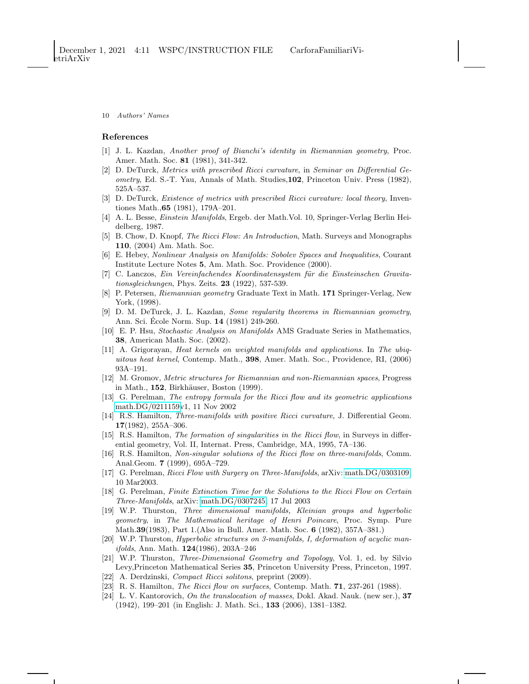## <span id="page-9-0"></span>References

- <span id="page-9-1"></span>[1] J. L. Kazdan, Another proof of Bianchi's identity in Riemannian geometry, Proc. Amer. Math. Soc. 81 (1981), 341-342.
- [2] D. DeTurck, Metrics with prescribed Ricci curvature, in Seminar on Differential Geometry, Ed. S.-T. Yau, Annals of Math. Studies,102, Princeton Univ. Press (1982), 525A–537.
- <span id="page-9-2"></span>[3] D. DeTurck, Existence of metrics with prescribed Ricci curvature: local theory, Inventiones Math.,65 (1981), 179A–201.
- <span id="page-9-3"></span>[4] A. L. Besse, Einstein Manifolds, Ergeb. der Math.Vol. 10, Springer-Verlag Berlin Heidelberg, 1987.
- <span id="page-9-5"></span><span id="page-9-4"></span>[5] B. Chow, D. Knopf, The Ricci Flow: An Introduction, Math. Surveys and Monographs 110, (2004) Am. Math. Soc.
- [6] E. Hebey, Nonlinear Analysis on Manifolds: Sobolev Spaces and Inequalities, Courant Institute Lecture Notes 5, Am. Math. Soc. Providence (2000).
- <span id="page-9-6"></span>[7] C. Lanczos, Ein Vereinfachendes Koordinatensystem für die Einsteinschen Gravitationsgleichungen, Phys. Zeits. 23 (1922), 537-539.
- <span id="page-9-7"></span>[8] P. Petersen, Riemannian geometry Graduate Text in Math. 171 Springer-Verlag, New York, (1998).
- <span id="page-9-8"></span>[9] D. M. DeTurck, J. L. Kazdan, Some regularity theorems in Riemannian geometry, Ann. Sci. École Norm. Sup. 14 (1981) 249-260.
- <span id="page-9-9"></span>[10] E. P. Hsu, Stochastic Analysis on Manifolds AMS Graduate Series in Mathematics, 38, American Math. Soc. (2002).
- <span id="page-9-10"></span>[11] A. Grigorayan, Heat kernels on weighted manifolds and applications. In The ubiquitous heat kernel, Contemp. Math., 398, Amer. Math. Soc., Providence, RI, (2006) 93A–191.
- <span id="page-9-11"></span>[12] M. Gromov, Metric structures for Riemannian and non-Riemannian spaces, Progress in Math.,  $152$ , Birkhäuser, Boston  $(1999)$ .
- <span id="page-9-12"></span>[13] G. Perelman, The entropy formula for the Ricci flow and its geometric applications [math.DG/0211159v](http://arxiv.org/abs/math/0211159)1, 11 Nov 2002
- <span id="page-9-13"></span>[14] R.S. Hamilton, Three-manifolds with positive Ricci curvature, J. Differential Geom. 17(1982), 255A–306.
- <span id="page-9-14"></span>[15] R.S. Hamilton, The formation of singularities in the Ricci flow, in Surveys in differential geometry, Vol. II, Internat. Press, Cambridge, MA, 1995, 7A–136.
- <span id="page-9-15"></span>[16] R.S. Hamilton, Non-singular solutions of the Ricci flow on three-manifolds, Comm. Anal.Geom. 7 (1999), 695A–729.
- <span id="page-9-17"></span><span id="page-9-16"></span>[17] G. Perelman, Ricci Flow with Surgery on Three-Manifolds, arXiv: [math.DG/0303109,](http://arxiv.org/abs/math/0303109) 10 Mar2003.
- [18] G. Perelman, Finite Extinction Time for the Solutions to the Ricci Flow on Certain Three-Manifolds, arXiv: [math.DG/0307245,](http://arxiv.org/abs/math/0307245) 17 Jul 2003
- <span id="page-9-18"></span>[19] W.P. Thurston, Three dimensional manifolds, Kleinian groups and hyperbolic geometry, in The Mathematical heritage of Henri Poincare, Proc. Symp. Pure Math.39(1983), Part 1.(Also in Bull. Amer. Math. Soc. 6 (1982), 357A–381.)
- <span id="page-9-19"></span>[20] W.P. Thurston, Hyperbolic structures on 3-manifolds, I, deformation of acyclic man*ifolds*, Ann. Math.  $124(1986)$ ,  $203A-246$
- <span id="page-9-20"></span>[21] W.P. Thurston, Three-Dimensional Geometry and Topology, Vol. 1, ed. by Silvio Levy,Princeton Mathematical Series 35, Princeton University Press, Princeton, 1997.
- <span id="page-9-22"></span><span id="page-9-21"></span>[22] A. Derdzinski, Compact Ricci solitons, preprint (2009).
- <span id="page-9-23"></span>[23] R. S. Hamilton, The Ricci flow on surfaces, Contemp. Math. 71, 237-261 (1988).
- [24] L. V. Kantorovich, On the translocation of masses, Dokl. Akad. Nauk. (new ser.), 37 (1942), 199–201 (in English: J. Math. Sci., 133 (2006), 1381–1382.